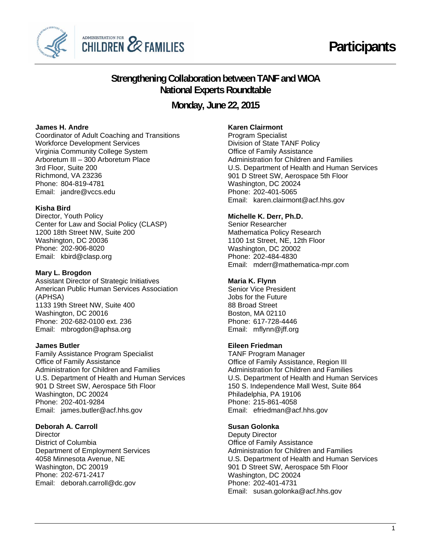



# **Strengthening Collaboration between TANF and WIOA National Experts Roundtable**

**Monday, June 22, 2015**

# **James H. Andre**

Coordinator of Adult Coaching and Transitions Workforce Development Services Virginia Community College System Arboretum III – 300 Arboretum Place 3rd Floor, Suite 200 Richmond, VA 23236 Phone: 804-819-4781 Email: jandre@vccs.edu

### **Kisha Bird**

Phone: 202-906-8020 Director, Youth Policy Center for Law and Social Policy (CLASP) 1200 18th Street NW, Suite 200 Washington, DC 20036 Email: kbird@clasp.org

### **Mary L. Brogdon**

Assistant Director of Strategic Initiatives American Public Human Services Association (APHSA) 1133 19th Street NW, Suite 400 Washington, DC 20016 Phone: 202-682-0100 ext. 236 Email: mbrogdon@aphsa.org

#### **James Butler**

Phone: 202-401-9284 Family Assistance Program Specialist Office of Family Assistance Administration for Children and Families U.S. Department of Health and Human Services 901 D Street SW, Aerospace 5th Floor Washington, DC 20024 Email: james.butler@acf.hhs.gov

#### **Deborah A. Carroll**

Phone: 202-671-2417 **Director** District of Columbia Department of Employment Services 4058 Minnesota Avenue, NE Washington, DC 20019 Email: deborah.carroll@dc.gov

# **Karen Clairmont**

 U.S. Department of Health and Human Services 901 D Street SW, Aerospace 5th Floor Program Specialist Division of State TANF Policy Office of Family Assistance Administration for Children and Families Washington, DC 20024 Phone: 202-401-5065 Email: karen.clairmont@acf.hhs.gov

# **Michelle K. Derr, Ph.D.**

 Phone: 202-484-4830 Senior Researcher Mathematica Policy Research 1100 1st Street, NE, 12th Floor Washington, DC 20002 Email: mderr@mathematica-mpr.com

#### **Maria K. Flynn**

 Phone: 617-728-4446 Senior Vice President Jobs for the Future 88 Broad Street Boston, MA 02110 Email: mflynn@jff.org

## **Eileen Friedman**

 Phone: 215-861-4058 TANF Program Manager Office of Family Assistance, Region III Administration for Children and Families U.S. Department of Health and Human Services 150 S. Independence Mall West, Suite 864 Philadelphia, PA 19106 Email: efriedman@acf.hhs.gov

#### **Susan Golonka**

 Phone: 202-401-4731 Deputy Director Office of Family Assistance Administration for Children and Families U.S. Department of Health and Human Services 901 D Street SW, Aerospace 5th Floor Washington, DC 20024 Email: susan.golonka@acf.hhs.gov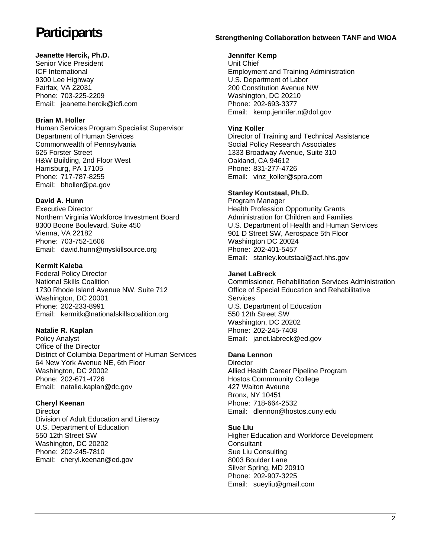# **Jeanette Hercik, Ph.D.**

Phone: 703-225-2209 Senior Vice President ICF International 9300 Lee Highway Fairfax, VA 22031 Email: jeanette.hercik@icfi.com

# **Brian M. Holler**

Phone: 717-787-8255 Human Services Program Specialist Supervisor Department of Human Services Commonwealth of Pennsylvania 625 Forster Street H&W Building, 2nd Floor West Harrisburg, PA 17105 Email: bholler@pa.gov

# **David A. Hunn**

Phone: 703-752-1606 Executive Director Northern Virginia Workforce Investment Board 8300 Boone Boulevard, Suite 450 Vienna, VA 22182 Email: david.hunn@myskillsource.org

# **Kermit Kaleba**

Phone: 202-233-8991 Federal Policy Director National Skills Coalition 1730 Rhode Island Avenue NW, Suite 712 Washington, DC 20001 Email: kermitk@nationalskillscoalition.org

# **Natalie R. Kaplan**

Phone: 202-671-4726 Policy Analyst Office of the Director District of Columbia Department of Human Services 64 New York Avenue NE, 6th Floor Washington, DC 20002 Email: natalie.kaplan@dc.gov

# **Cheryl Keenan**

Phone: 202-245-7810 **Director** Division of Adult Education and Literacy U.S. Department of Education 550 12th Street SW Washington, DC 20202 Email: cheryl.keenan@ed.gov

# **Participants Strengthening Collaboration between TANF and WIOA**

# **Jennifer Kemp**

Phone: 202-693-3377 Unit Chief Employment and Training Administration U.S. Department of Labor 200 Constitution Avenue NW Washington, DC 20210 Email: kemp.jennifer.n@dol.gov

# **Vinz Koller**

Phone: 831-277-4726 Director of Training and Technical Assistance Social Policy Research Associates 1333 Broadway Avenue, Suite 310 Oakland, CA 94612 Email: vinz koller@spra.com

# **Stanley Koutstaal, Ph.D.**

 U.S. Department of Health and Human Services 901 D Street SW, Aerospace 5th Floor Program Manager Health Profession Opportunity Grants Administration for Children and Families Washington DC 20024 Phone: 202-401-5457 Email: stanley.koutstaal@acf.hhs.gov

# **Janet LaBreck**

Phone: 202-245-7408 Commissioner, Rehabilitation Services Administration Office of Special Education and Rehabilitative **Services** U.S. Department of Education 550 12th Street SW Washington, DC 20202 Email: janet.labreck@ed.gov

# **Dana Lennon**

Phone: 718-664-2532 **Director** Allied Health Career Pipeline Program Hostos Commmunity College 427 Walton Aveune Bronx, NY 10451 Email: dlennon@hostos.cuny.edu

8003 Boulder Lane **Sue Liu**  Higher Education and Workforce Development **Consultant** Sue Liu Consulting Silver Spring, MD 20910 Phone: 202-907-3225 Email: sueyliu@gmail.com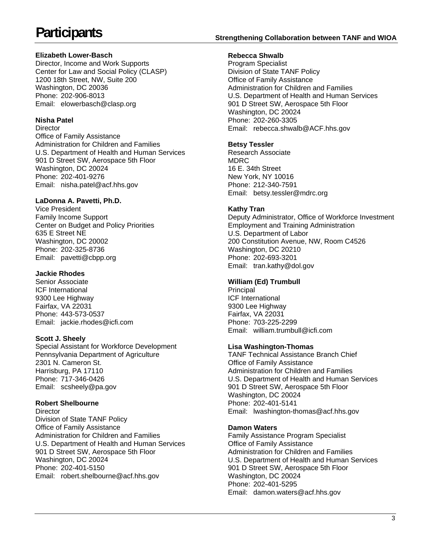# **Participants Strengthening Collaboration between TANF and WIOA**

# **Elizabeth Lower-Basch**

Phone: 202-906-8013 Director, Income and Work Supports Center for Law and Social Policy (CLASP) 1200 18th Street, NW, Suite 200 Washington, DC 20036 Email: elowerbasch@clasp.org

# **Nisha Patel**

Phone: 202-401-9276 **Director** Office of Family Assistance Administration for Children and Families U.S. Department of Health and Human Services 901 D Street SW, Aerospace 5th Floor Washington, DC 20024 Email: nisha.patel@acf.hhs.gov

# **LaDonna A. Pavetti, Ph.D.**

Phone: 202-325-8736 Vice President Family Income Support Center on Budget and Policy Priorities 635 E Street NE Washington, DC 20002 Email: pavetti@cbpp.org

### **Jackie Rhodes**

Phone: 443-573-0537 Senior Associate ICF International 9300 Lee Highway Fairfax, VA 22031 Email: jackie.rhodes@icfi.com

# **Scott J. Sheely**

Phone: 717-346-0426 Special Assistant for Workforce Development Pennsylvania Department of Agriculture 2301 N. Cameron St. Harrisburg, PA 17110 Email: scsheely@pa.gov

### **Robert Shelbourne**

Director Division of State TANF Policy Office of Family Assistance Administration for Children and Families U.S. Department of Health and Human Services 901 D Street SW, Aerospace 5th Floor Washington, DC 20024 Phone: 202-401-5150 Email: robert.shelbourne@acf.hhs.gov

#### **Rebecca Shwalb**

U.S. Department of Health and Human Services Phone: 202-260-3305 Program Specialist Division of State TANF Policy Office of Family Assistance Administration for Children and Families 901 D Street SW, Aerospace 5th Floor Washington, DC 20024 Email: rebecca.shwalb@ACF.hhs.gov

# **Betsy Tessler**

Research Associate MDRC 16 E. 34th Street New York, NY 10016 Phone: 212-340-7591 Email: betsy.tessler@mdrc.org

# **Kathy Tran**

Deputy Administrator, Office of Workforce Investment Employment and Training Administration U.S. Department of Labor 200 Constitution Avenue, NW, Room C4526 Washington, DC 20210 Phone: 202-693-3201 Email: tran.kathy@dol.gov

# **William (Ed) Trumbull**

Principal ICF International 9300 Lee Highway Fairfax, VA 22031 Phone: 703-225-2299 Email: william.trumbull@icfi.com

### **Lisa Washington-Thomas**

 Phone: 202-401-5141 TANF Technical Assistance Branch Chief Office of Family Assistance Administration for Children and Families U.S. Department of Health and Human Services 901 D Street SW, Aerospace 5th Floor Washington, DC 20024 Email: lwashington-thomas@acf.hhs.gov

### **Damon Waters**

 Phone: 202-401-5295 Family Assistance Program Specialist Office of Family Assistance Administration for Children and Families U.S. Department of Health and Human Services 901 D Street SW, Aerospace 5th Floor Washington, DC 20024 Email: damon.waters@acf.hhs.gov